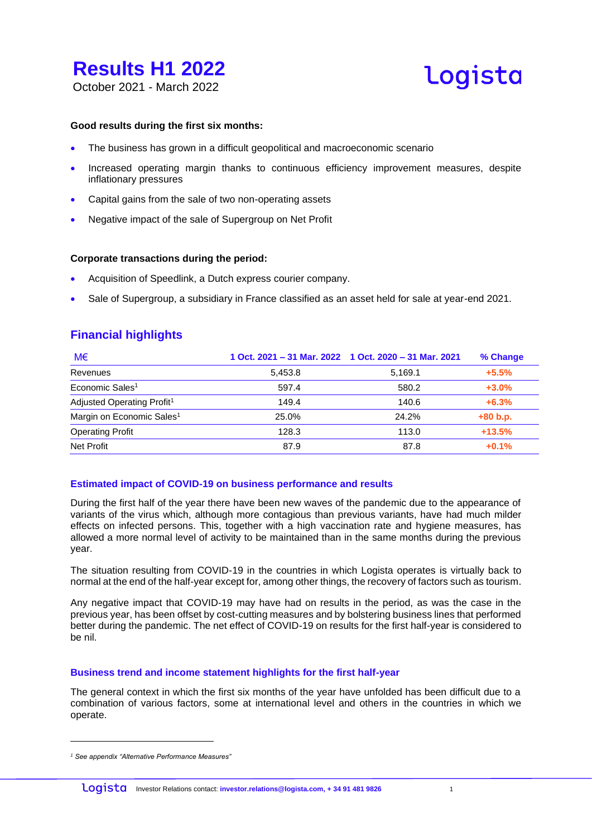

**Logista** 

### October 2021 - March 2022

#### **Good results during the first six months:**

- The business has grown in a difficult geopolitical and macroeconomic scenario
- Increased operating margin thanks to continuous efficiency improvement measures, despite inflationary pressures
- Capital gains from the sale of two non-operating assets
- Negative impact of the sale of Supergroup on Net Profit

#### **Corporate transactions during the period:**

- Acquisition of Speedlink, a Dutch express courier company.
- Sale of Supergroup, a subsidiary in France classified as an asset held for sale at year-end 2021.

### **Financial highlights**

| M€                                     |         | 1 Oct. 2021 - 31 Mar. 2022 1 Oct. 2020 - 31 Mar. 2021 | % Change   |
|----------------------------------------|---------|-------------------------------------------------------|------------|
| Revenues                               | 5.453.8 | 5,169.1                                               | $+5.5%$    |
| Economic Sales <sup>1</sup>            | 597.4   | 580.2                                                 | $+3.0%$    |
| Adjusted Operating Profit <sup>1</sup> | 149.4   | 140.6                                                 | $+6.3%$    |
| Margin on Economic Sales <sup>1</sup>  | 25.0%   | 24.2%                                                 | $+80 b.p.$ |
| <b>Operating Profit</b>                | 128.3   | 113.0                                                 | $+13.5%$   |
| Net Profit                             | 87.9    | 87.8                                                  | $+0.1%$    |

### **Estimated impact of COVID-19 on business performance and results**

During the first half of the year there have been new waves of the pandemic due to the appearance of variants of the virus which, although more contagious than previous variants, have had much milder effects on infected persons. This, together with a high vaccination rate and hygiene measures, has allowed a more normal level of activity to be maintained than in the same months during the previous year.

The situation resulting from COVID-19 in the countries in which Logista operates is virtually back to normal at the end of the half-year except for, among other things, the recovery of factors such as tourism.

Any negative impact that COVID-19 may have had on results in the period, as was the case in the previous year, has been offset by cost-cutting measures and by bolstering business lines that performed better during the pandemic. The net effect of COVID-19 on results for the first half-year is considered to be nil.

#### **Business trend and income statement highlights for the first half-year**

The general context in which the first six months of the year have unfolded has been difficult due to a combination of various factors, some at international level and others in the countries in which we operate.

*<sup>1</sup> See appendix "Alternative Performance Measures"*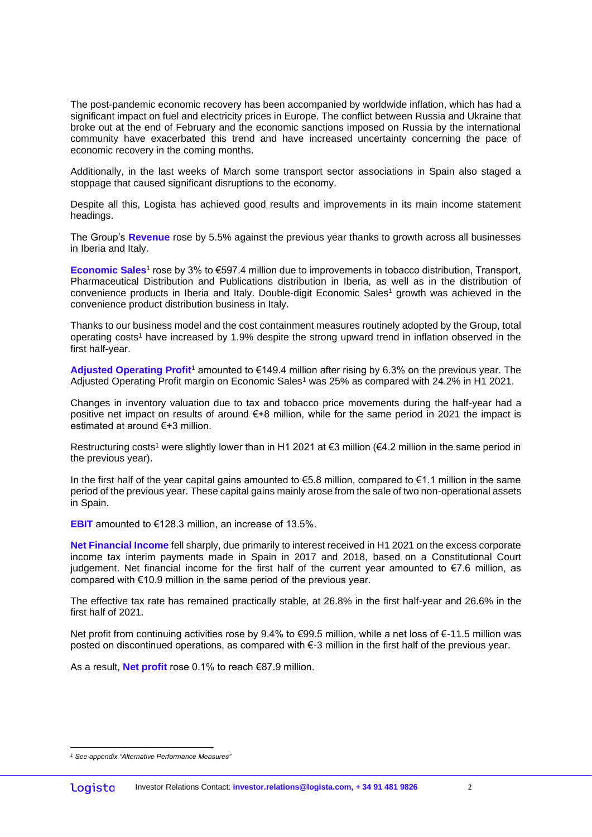The post-pandemic economic recovery has been accompanied by worldwide inflation, which has had a significant impact on fuel and electricity prices in Europe. The conflict between Russia and Ukraine that broke out at the end of February and the economic sanctions imposed on Russia by the international community have exacerbated this trend and have increased uncertainty concerning the pace of economic recovery in the coming months.

Additionally, in the last weeks of March some transport sector associations in Spain also staged a stoppage that caused significant disruptions to the economy.

Despite all this, Logista has achieved good results and improvements in its main income statement headings.

The Group's **Revenue** rose by 5.5% against the previous year thanks to growth across all businesses in Iberia and Italy.

**Economic Sales**<sup>1</sup> rose by 3% to €597.4 million due to improvements in tobacco distribution, Transport, Pharmaceutical Distribution and Publications distribution in Iberia, as well as in the distribution of convenience products in Iberia and Italy. Double-digit Economic Sales<sup>1</sup> growth was achieved in the convenience product distribution business in Italy.

Thanks to our business model and the cost containment measures routinely adopted by the Group, total operating costs<sup>1</sup> have increased by 1.9% despite the strong upward trend in inflation observed in the first half-year.

**Adjusted Operating Profit**<sup>1</sup> amounted to €149.4 million after rising by 6.3% on the previous year. The Adjusted Operating Profit margin on Economic Sales<sup>1</sup> was 25% as compared with 24.2% in H1 2021.

Changes in inventory valuation due to tax and tobacco price movements during the half-year had a positive net impact on results of around €+8 million, while for the same period in 2021 the impact is estimated at around €+3 million.

Restructuring costs<sup>1</sup> were slightly lower than in H1 2021 at €3 million (€4.2 million in the same period in the previous year).

In the first half of the year capital gains amounted to  $\epsilon$ 5.8 million, compared to  $\epsilon$ 1.1 million in the same period of the previous year. These capital gains mainly arose from the sale of two non-operational assets in Spain.

**EBIT** amounted to €128.3 million, an increase of 13.5%.

**Net Financial Income** fell sharply, due primarily to interest received in H1 2021 on the excess corporate income tax interim payments made in Spain in 2017 and 2018, based on a Constitutional Court judgement. Net financial income for the first half of the current year amounted to €7.6 million, as compared with €10.9 million in the same period of the previous year.

The effective tax rate has remained practically stable, at 26.8% in the first half-year and 26.6% in the first half of 2021.

Net profit from continuing activities rose by 9.4% to €99.5 million, while a net loss of €-11.5 million was posted on discontinued operations, as compared with €-3 million in the first half of the previous year.

As a result, **Net profit** rose 0.1% to reach €87.9 million.

*<sup>1</sup> See appendix "Alternative Performance Measures"*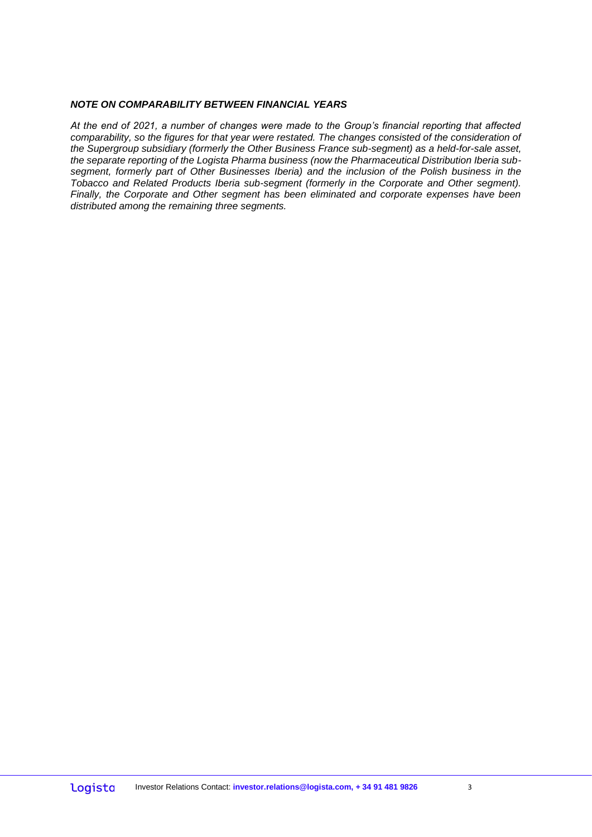### *NOTE ON COMPARABILITY BETWEEN FINANCIAL YEARS*

*At the end of 2021, a number of changes were made to the Group's financial reporting that affected comparability, so the figures for that year were restated. The changes consisted of the consideration of the Supergroup subsidiary (formerly the Other Business France sub-segment) as a held-for-sale asset, the separate reporting of the Logista Pharma business (now the Pharmaceutical Distribution Iberia subsegment, formerly part of Other Businesses Iberia) and the inclusion of the Polish business in the Tobacco and Related Products Iberia sub-segment (formerly in the Corporate and Other segment). Finally, the Corporate and Other segment has been eliminated and corporate expenses have been distributed among the remaining three segments.*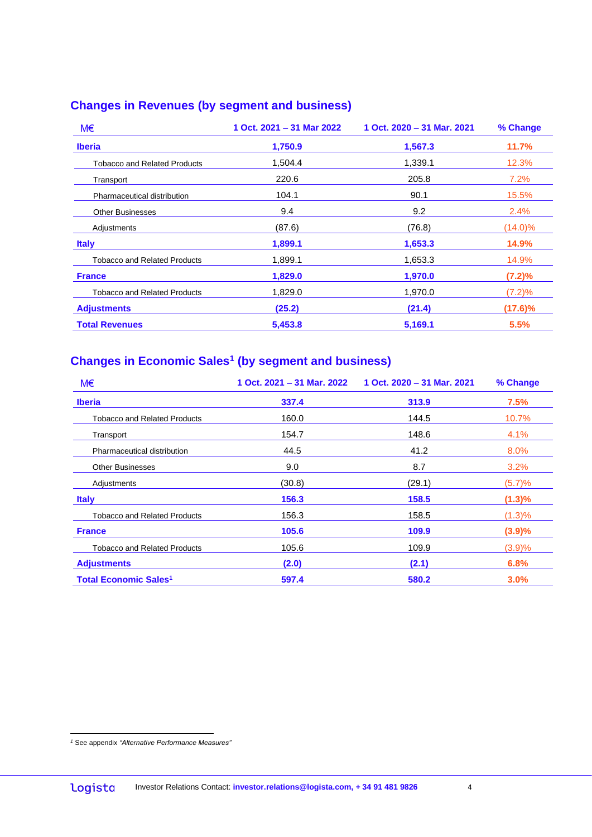### **Changes in Revenues (by segment and business)**

| M€                                  | 1 Oct. 2021 - 31 Mar 2022 | 1 Oct. 2020 - 31 Mar. 2021 | % Change   |
|-------------------------------------|---------------------------|----------------------------|------------|
| <b>Iberia</b>                       | 1,750.9                   | 1,567.3                    | 11.7%      |
| <b>Tobacco and Related Products</b> | 1.504.4                   | 1,339.1                    | 12.3%      |
| Transport                           | 220.6                     | 205.8                      | 7.2%       |
| Pharmaceutical distribution         | 104.1                     | 90.1                       | 15.5%      |
| <b>Other Businesses</b>             | 9.4                       | 9.2                        | 2.4%       |
| Adjustments                         | (87.6)                    | (76.8)                     | $(14.0)\%$ |
| <b>Italy</b>                        | 1,899.1                   | 1,653.3                    | 14.9%      |
| <b>Tobacco and Related Products</b> | 1,899.1                   | 1,653.3                    | 14.9%      |
| <b>France</b>                       | 1,829.0                   | 1,970.0                    | (7.2)%     |
| <b>Tobacco and Related Products</b> | 1,829.0                   | 1,970.0                    | (7.2)%     |
| <b>Adjustments</b>                  | (25.2)                    | (21.4)                     | (17.6)%    |
| <b>Total Revenues</b>               | 5,453.8                   | 5.169.1                    | 5.5%       |

### **Changes in Economic Sales<sup>1</sup> (by segment and business)**

| M€                                      | 1 Oct. 2021 - 31 Mar. 2022 | 1 Oct. 2020 - 31 Mar. 2021 | % Change  |
|-----------------------------------------|----------------------------|----------------------------|-----------|
| <b>Iberia</b>                           | 337.4                      | 313.9                      | 7.5%      |
| <b>Tobacco and Related Products</b>     | 160.0                      | 144.5                      | 10.7%     |
| Transport                               | 154.7                      | 148.6                      | 4.1%      |
| Pharmaceutical distribution             | 44.5                       | 41.2                       | 8.0%      |
| <b>Other Businesses</b>                 | 9.0                        | 8.7                        | 3.2%      |
| Adjustments                             | (30.8)                     | (29.1)                     | (5.7)%    |
| <b>Italy</b>                            | 156.3                      | 158.5                      | $(1.3)\%$ |
| <b>Tobacco and Related Products</b>     | 156.3                      | 158.5                      | $(1.3)\%$ |
| <b>France</b>                           | 105.6                      | 109.9                      | (3.9)%    |
| <b>Tobacco and Related Products</b>     | 105.6                      | 109.9                      | (3.9)%    |
| <b>Adjustments</b>                      | (2.0)                      | (2.1)                      | 6.8%      |
| <b>Total Economic Sales<sup>1</sup></b> | 597.4                      | 580.2                      | 3.0%      |

*<sup>1</sup>* See appendix *"Alternative Performance Measures"*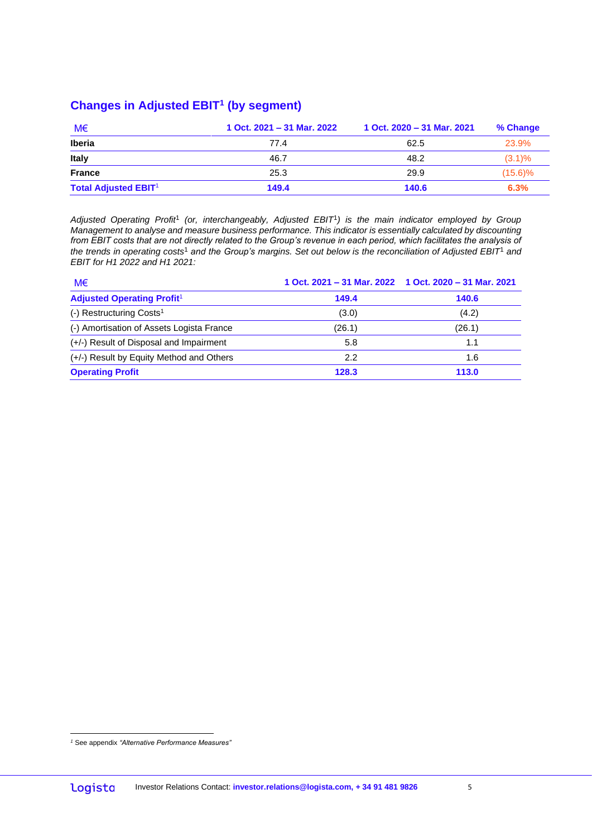### **Changes in Adjusted EBIT<sup>1</sup> (by segment)**

| M€                          | 1 Oct. 2021 - 31 Mar. 2022 | 1 Oct. 2020 - 31 Mar. 2021 | % Change   |
|-----------------------------|----------------------------|----------------------------|------------|
| <b>Iberia</b>               | 77.4                       | 62.5                       | 23.9%      |
| Italy                       | 46.7                       | 48.2                       | $(3.1)\%$  |
| <b>France</b>               | 25.3                       | 29.9                       | $(15.6)\%$ |
| <b>Total Adjusted EBIT1</b> | 149.4                      | 140.6                      | 6.3%       |

Adjusted Operating Profit<sup>1</sup> (or, interchangeably, Adjusted EBIT<sup>1</sup>) is the main indicator employed by Group *Management to analyse and measure business performance. This indicator is essentially calculated by discounting from EBIT costs that are not directly related to the Group's revenue in each period, which facilitates the analysis of the trends in operating costs*<sup>1</sup> *and the Group's margins. Set out below is the reconciliation of Adjusted EBIT*<sup>1</sup> *and EBIT for H1 2022 and H1 2021:*

| M€                                        |        | 1 Oct. 2021 - 31 Mar. 2022 1 Oct. 2020 - 31 Mar. 2021 |
|-------------------------------------------|--------|-------------------------------------------------------|
| <b>Adjusted Operating Profit1</b>         | 149.4  | 140.6                                                 |
| $(-)$ Restructuring Costs <sup>1</sup>    | (3.0)  | (4.2)                                                 |
| (-) Amortisation of Assets Logista France | (26.1) | (26.1)                                                |
| (+/-) Result of Disposal and Impairment   | 5.8    | 1.1                                                   |
| (+/-) Result by Equity Method and Others  | 2.2    | 1.6                                                   |
| <b>Operating Profit</b>                   | 128.3  | 113.0                                                 |

*<sup>1</sup>* See appendix *"Alternative Performance Measures"*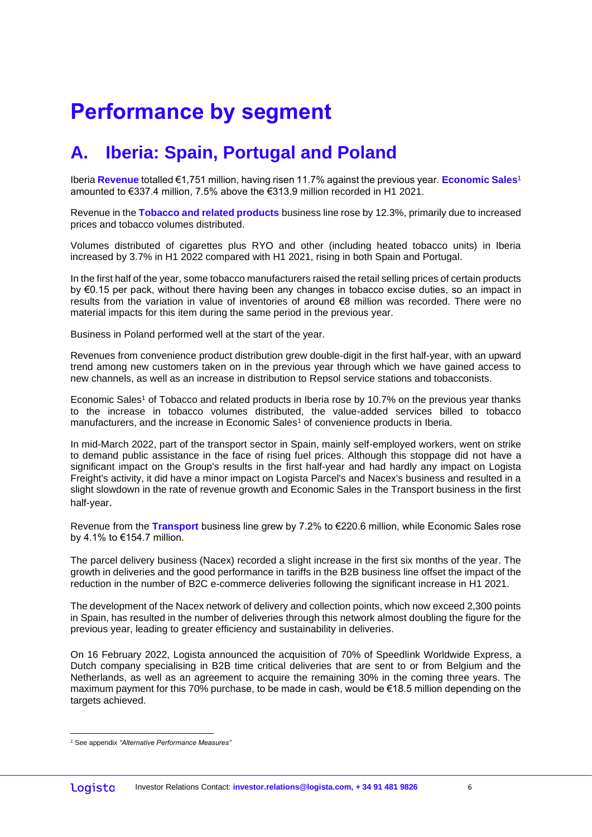# **Performance by segment**

## **A. Iberia: Spain, Portugal and Poland**

Iberia **Revenue** totalled €1,751 million, having risen 11.7% against the previous year. **Economic Sales**<sup>1</sup> amounted to €337.4 million, 7.5% above the €313.9 million recorded in H1 2021.

Revenue in the **Tobacco and related products** business line rose by 12.3%, primarily due to increased prices and tobacco volumes distributed.

Volumes distributed of cigarettes plus RYO and other (including heated tobacco units) in Iberia increased by 3.7% in H1 2022 compared with H1 2021, rising in both Spain and Portugal.

In the first half of the year, some tobacco manufacturers raised the retail selling prices of certain products by €0.15 per pack, without there having been any changes in tobacco excise duties, so an impact in results from the variation in value of inventories of around €8 million was recorded. There were no material impacts for this item during the same period in the previous year.

Business in Poland performed well at the start of the year.

Revenues from convenience product distribution grew double-digit in the first half-year, with an upward trend among new customers taken on in the previous year through which we have gained access to new channels, as well as an increase in distribution to Repsol service stations and tobacconists.

Economic Sales<sup>1</sup> of Tobacco and related products in Iberia rose by 10.7% on the previous year thanks to the increase in tobacco volumes distributed, the value-added services billed to tobacco manufacturers, and the increase in Economic Sales<sup>1</sup> of convenience products in Iberia.

In mid-March 2022, part of the transport sector in Spain, mainly self-employed workers, went on strike to demand public assistance in the face of rising fuel prices. Although this stoppage did not have a significant impact on the Group's results in the first half-year and had hardly any impact on Logista Freight's activity, it did have a minor impact on Logista Parcel's and Nacex's business and resulted in a slight slowdown in the rate of revenue growth and Economic Sales in the Transport business in the first half-year.

Revenue from the **Transport** business line grew by 7.2% to €220.6 million, while Economic Sales rose by 4.1% to €154.7 million.

The parcel delivery business (Nacex) recorded a slight increase in the first six months of the year. The growth in deliveries and the good performance in tariffs in the B2B business line offset the impact of the reduction in the number of B2C e-commerce deliveries following the significant increase in H1 2021.

The development of the Nacex network of delivery and collection points, which now exceed 2,300 points in Spain, has resulted in the number of deliveries through this network almost doubling the figure for the previous year, leading to greater efficiency and sustainability in deliveries.

On 16 February 2022, Logista announced the acquisition of 70% of Speedlink Worldwide Express, a Dutch company specialising in B2B time critical deliveries that are sent to or from Belgium and the Netherlands, as well as an agreement to acquire the remaining 30% in the coming three years. The maximum payment for this 70% purchase, to be made in cash, would be €18.5 million depending on the targets achieved.

*<sup>1</sup>* See appendix *"Alternative Performance Measures"*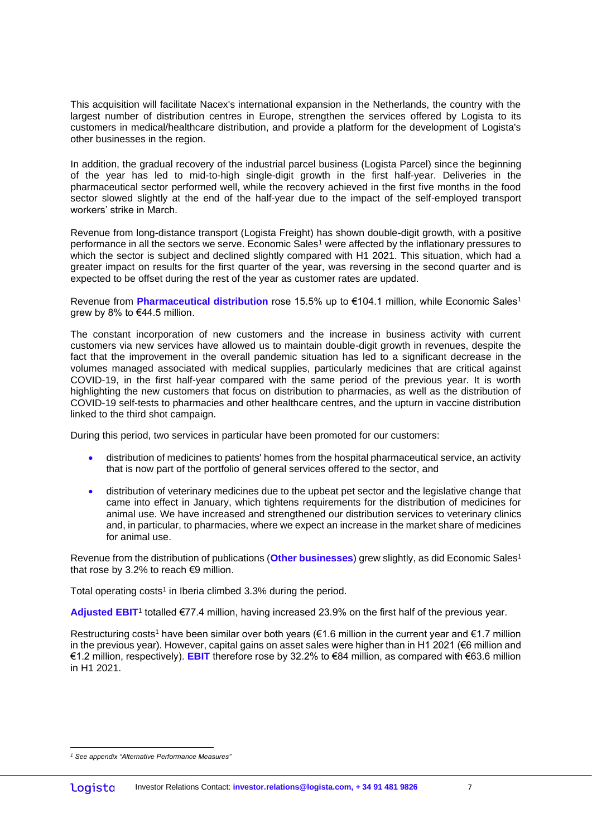This acquisition will facilitate Nacex's international expansion in the Netherlands, the country with the largest number of distribution centres in Europe, strengthen the services offered by Logista to its customers in medical/healthcare distribution, and provide a platform for the development of Logista's other businesses in the region.

In addition, the gradual recovery of the industrial parcel business (Logista Parcel) since the beginning of the year has led to mid-to-high single-digit growth in the first half-year. Deliveries in the pharmaceutical sector performed well, while the recovery achieved in the first five months in the food sector slowed slightly at the end of the half-year due to the impact of the self-employed transport workers' strike in March.

Revenue from long-distance transport (Logista Freight) has shown double-digit growth, with a positive performance in all the sectors we serve. Economic Sales<sup>1</sup> were affected by the inflationary pressures to which the sector is subject and declined slightly compared with H1 2021. This situation, which had a greater impact on results for the first quarter of the year, was reversing in the second quarter and is expected to be offset during the rest of the year as customer rates are updated.

Revenue from **Pharmaceutical distribution** rose 15.5% up to €104.1 million, while Economic Sales<sup>1</sup> arew by 8% to €44.5 million.

The constant incorporation of new customers and the increase in business activity with current customers via new services have allowed us to maintain double-digit growth in revenues, despite the fact that the improvement in the overall pandemic situation has led to a significant decrease in the volumes managed associated with medical supplies, particularly medicines that are critical against COVID-19, in the first half-year compared with the same period of the previous year. It is worth highlighting the new customers that focus on distribution to pharmacies, as well as the distribution of COVID-19 self-tests to pharmacies and other healthcare centres, and the upturn in vaccine distribution linked to the third shot campaign.

During this period, two services in particular have been promoted for our customers:

- distribution of medicines to patients' homes from the hospital pharmaceutical service, an activity that is now part of the portfolio of general services offered to the sector, and
- distribution of veterinary medicines due to the upbeat pet sector and the legislative change that came into effect in January, which tightens requirements for the distribution of medicines for animal use. We have increased and strengthened our distribution services to veterinary clinics and, in particular, to pharmacies, where we expect an increase in the market share of medicines for animal use.

Revenue from the distribution of publications (**Other businesses**) grew slightly, as did Economic Sales<sup>1</sup> that rose by 3.2% to reach €9 million.

Total operating costs<sup>1</sup> in Iberia climbed 3.3% during the period.

Adjusted EBIT<sup>1</sup> totalled €77.4 million, having increased 23.9% on the first half of the previous year.

Restructuring costs<sup>1</sup> have been similar over both years (€1.6 million in the current year and €1.7 million in the previous year). However, capital gains on asset sales were higher than in H1 2021 (€6 million and €1.2 million, respectively). **EBIT** therefore rose by 32.2% to €84 million, as compared with €63.6 million in H1 2021.

*<sup>1</sup> See appendix "Alternative Performance Measures"*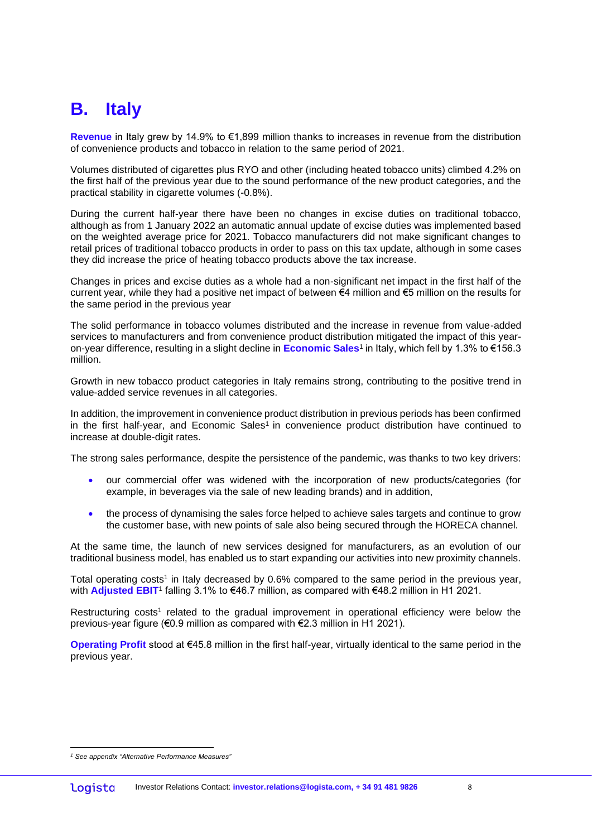## **B. Italy**

**Revenue** in Italy grew by 14.9% to €1,899 million thanks to increases in revenue from the distribution of convenience products and tobacco in relation to the same period of 2021.

Volumes distributed of cigarettes plus RYO and other (including heated tobacco units) climbed 4.2% on the first half of the previous year due to the sound performance of the new product categories, and the practical stability in cigarette volumes (-0.8%).

During the current half-year there have been no changes in excise duties on traditional tobacco, although as from 1 January 2022 an automatic annual update of excise duties was implemented based on the weighted average price for 2021. Tobacco manufacturers did not make significant changes to retail prices of traditional tobacco products in order to pass on this tax update, although in some cases they did increase the price of heating tobacco products above the tax increase.

Changes in prices and excise duties as a whole had a non-significant net impact in the first half of the current year, while they had a positive net impact of between €4 million and €5 million on the results for the same period in the previous year

The solid performance in tobacco volumes distributed and the increase in revenue from value-added services to manufacturers and from convenience product distribution mitigated the impact of this yearon-year difference, resulting in a slight decline in **Economic Sales**<sup>1</sup> in Italy, which fell by 1.3% to €156.3 million.

Growth in new tobacco product categories in Italy remains strong, contributing to the positive trend in value-added service revenues in all categories.

In addition, the improvement in convenience product distribution in previous periods has been confirmed in the first half-year, and Economic Sales<sup>1</sup> in convenience product distribution have continued to increase at double-digit rates.

The strong sales performance, despite the persistence of the pandemic, was thanks to two key drivers:

- our commercial offer was widened with the incorporation of new products/categories (for example, in beverages via the sale of new leading brands) and in addition,
- the process of dynamising the sales force helped to achieve sales targets and continue to grow the customer base, with new points of sale also being secured through the HORECA channel.

At the same time, the launch of new services designed for manufacturers, as an evolution of our traditional business model, has enabled us to start expanding our activities into new proximity channels.

Total operating costs<sup>1</sup> in Italy decreased by 0.6% compared to the same period in the previous year, with **Adjusted EBIT**<sup>1</sup> falling 3.1% to €46.7 million, as compared with €48.2 million in H1 2021.

Restructuring costs<sup>1</sup> related to the gradual improvement in operational efficiency were below the previous-year figure (€0.9 million as compared with €2.3 million in H1 2021).

**Operating Profit** stood at €45.8 million in the first half-year, virtually identical to the same period in the previous year.

*<sup>1</sup> See appendix "Alternative Performance Measures"*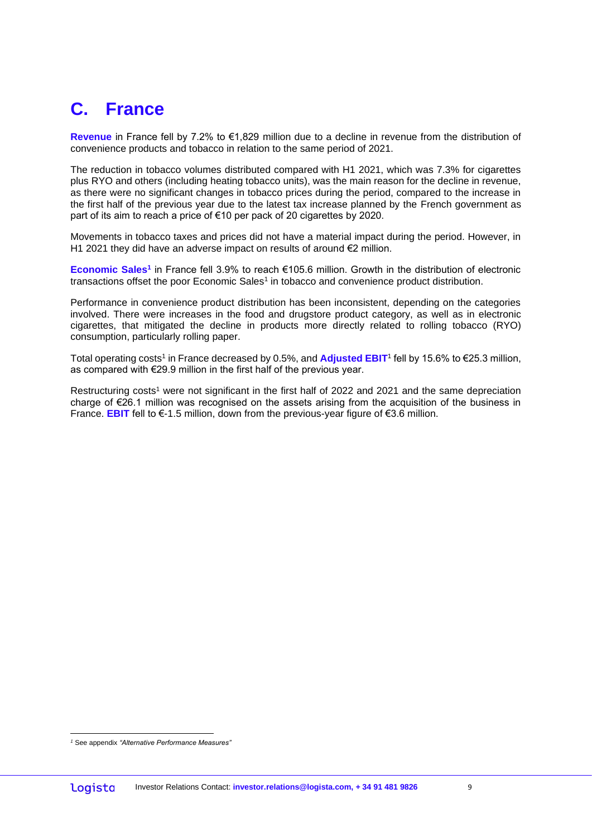## **C. France**

**Revenue** in France fell by 7.2% to €1,829 million due to a decline in revenue from the distribution of convenience products and tobacco in relation to the same period of 2021.

The reduction in tobacco volumes distributed compared with H1 2021, which was 7.3% for cigarettes plus RYO and others (including heating tobacco units), was the main reason for the decline in revenue, as there were no significant changes in tobacco prices during the period, compared to the increase in the first half of the previous year due to the latest tax increase planned by the French government as part of its aim to reach a price of €10 per pack of 20 cigarettes by 2020.

Movements in tobacco taxes and prices did not have a material impact during the period. However, in H1 2021 they did have an adverse impact on results of around €2 million.

**Economic Sales<sup>1</sup>** in France fell 3.9% to reach €105.6 million. Growth in the distribution of electronic transactions offset the poor Economic Sales<sup>1</sup> in tobacco and convenience product distribution.

Performance in convenience product distribution has been inconsistent, depending on the categories involved. There were increases in the food and drugstore product category, as well as in electronic cigarettes, that mitigated the decline in products more directly related to rolling tobacco (RYO) consumption, particularly rolling paper.

Total operating costs<sup>1</sup> in France decreased by 0.5%, and Adjusted EBIT<sup>1</sup> fell by 15.6% to €25.3 million, as compared with €29.9 million in the first half of the previous year.

Restructuring costs<sup>1</sup> were not significant in the first half of 2022 and 2021 and the same depreciation charge of €26.1 million was recognised on the assets arising from the acquisition of the business in France. **EBIT** fell to €-1.5 million, down from the previous-year figure of €3.6 million.

*<sup>1</sup>* See appendix *"Alternative Performance Measures"*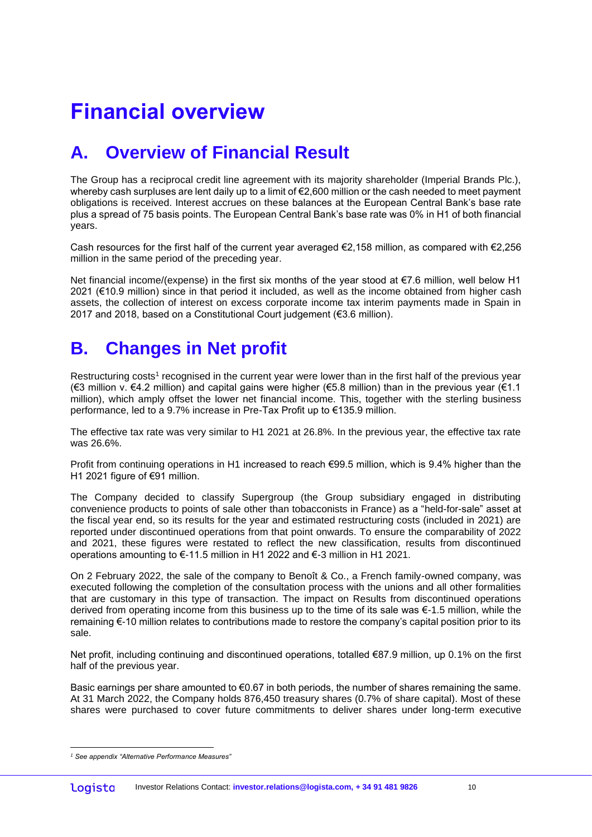# **Financial overview**

## **A. Overview of Financial Result**

The Group has a reciprocal credit line agreement with its majority shareholder (Imperial Brands Plc.), whereby cash surpluses are lent daily up to a limit of €2,600 million or the cash needed to meet payment obligations is received. Interest accrues on these balances at the European Central Bank's base rate plus a spread of 75 basis points. The European Central Bank's base rate was 0% in H1 of both financial years.

Cash resources for the first half of the current year averaged €2,158 million, as compared with €2,256 million in the same period of the preceding year.

Net financial income/(expense) in the first six months of the year stood at €7.6 million, well below H1 2021 (€10.9 million) since in that period it included, as well as the income obtained from higher cash assets, the collection of interest on excess corporate income tax interim payments made in Spain in 2017 and 2018, based on a Constitutional Court judgement (€3.6 million).

## **B. Changes in Net profit**

Restructuring costs<sup>1</sup> recognised in the current year were lower than in the first half of the previous year (€3 million v. €4.2 million) and capital gains were higher (€5.8 million) than in the previous year (€1.1 million), which amply offset the lower net financial income. This, together with the sterling business performance, led to a 9.7% increase in Pre-Tax Profit up to €135.9 million.

The effective tax rate was very similar to H1 2021 at 26.8%. In the previous year, the effective tax rate was 26.6%.

Profit from continuing operations in H1 increased to reach €99.5 million, which is 9.4% higher than the H1 2021 figure of €91 million.

The Company decided to classify Supergroup (the Group subsidiary engaged in distributing convenience products to points of sale other than tobacconists in France) as a "held-for-sale" asset at the fiscal year end, so its results for the year and estimated restructuring costs (included in 2021) are reported under discontinued operations from that point onwards. To ensure the comparability of 2022 and 2021, these figures were restated to reflect the new classification, results from discontinued operations amounting to €-11.5 million in H1 2022 and €-3 million in H1 2021.

On 2 February 2022, the sale of the company to Benoît & Co., a French family-owned company, was executed following the completion of the consultation process with the unions and all other formalities that are customary in this type of transaction. The impact on Results from discontinued operations derived from operating income from this business up to the time of its sale was €-1.5 million, while the remaining €-10 million relates to contributions made to restore the company's capital position prior to its sale.

Net profit, including continuing and discontinued operations, totalled €87.9 million, up 0.1% on the first half of the previous year.

Basic earnings per share amounted to  $\epsilon$ 0.67 in both periods, the number of shares remaining the same. At 31 March 2022, the Company holds 876,450 treasury shares (0.7% of share capital). Most of these shares were purchased to cover future commitments to deliver shares under long-term executive

*<sup>1</sup> See appendix "Alternative Performance Measures"*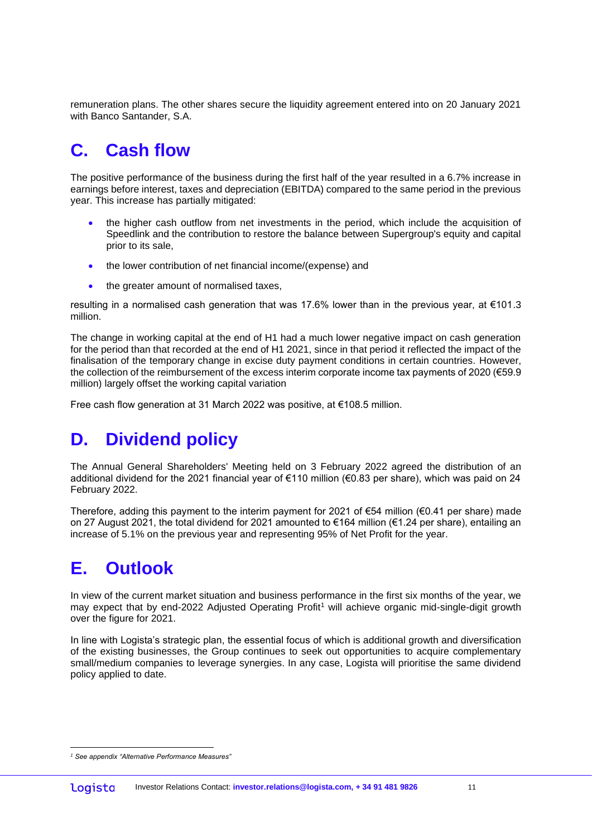remuneration plans. The other shares secure the liquidity agreement entered into on 20 January 2021 with Banco Santander, S.A.

## **C. Cash flow**

The positive performance of the business during the first half of the year resulted in a 6.7% increase in earnings before interest, taxes and depreciation (EBITDA) compared to the same period in the previous year. This increase has partially mitigated:

- the higher cash outflow from net investments in the period, which include the acquisition of Speedlink and the contribution to restore the balance between Supergroup's equity and capital prior to its sale,
- the lower contribution of net financial income/(expense) and
- the greater amount of normalised taxes,

resulting in a normalised cash generation that was 17.6% lower than in the previous year, at €101.3 million.

The change in working capital at the end of H1 had a much lower negative impact on cash generation for the period than that recorded at the end of H1 2021, since in that period it reflected the impact of the finalisation of the temporary change in excise duty payment conditions in certain countries. However, the collection of the reimbursement of the excess interim corporate income tax payments of 2020 (€59.9 million) largely offset the working capital variation

Free cash flow generation at 31 March 2022 was positive, at €108.5 million.

## **D. Dividend policy**

The Annual General Shareholders' Meeting held on 3 February 2022 agreed the distribution of an additional dividend for the 2021 financial year of €110 million (€0.83 per share), which was paid on 24 February 2022.

Therefore, adding this payment to the interim payment for 2021 of  $\epsilon$ 54 million ( $\epsilon$ 0.41 per share) made on 27 August 2021, the total dividend for 2021 amounted to €164 million (€1.24 per share), entailing an increase of 5.1% on the previous year and representing 95% of Net Profit for the year.

## **E. Outlook**

In view of the current market situation and business performance in the first six months of the year, we may expect that by end-2022 Adjusted Operating Profit<sup>1</sup> will achieve organic mid-single-digit growth over the figure for 2021.

In line with Logista's strategic plan, the essential focus of which is additional growth and diversification of the existing businesses, the Group continues to seek out opportunities to acquire complementary small/medium companies to leverage synergies. In any case, Logista will prioritise the same dividend policy applied to date.

*<sup>1</sup> See appendix "Alternative Performance Measures"*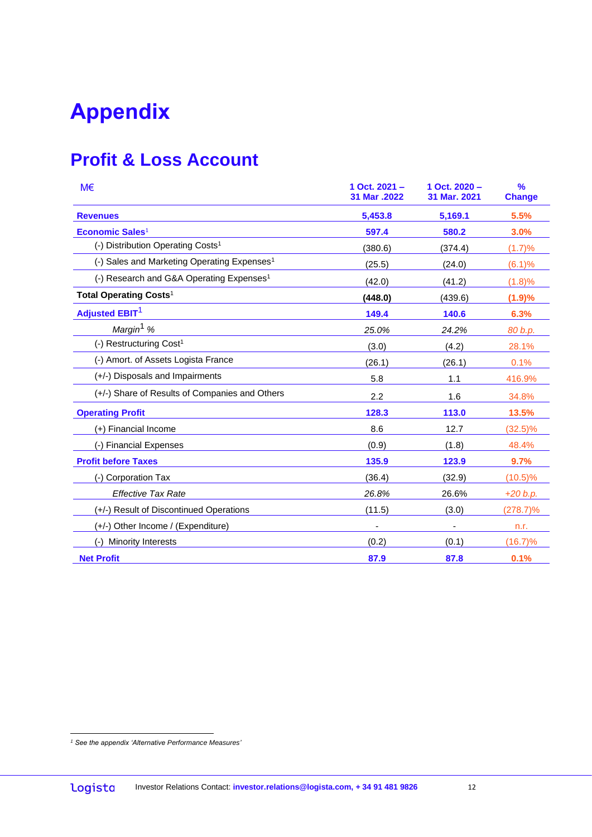# **Appendix**

## **Profit & Loss Account**

| M€                                                      | 1 Oct. 2021 -<br>31 Mar .2022 | $1$ Oct. $2020 -$<br>31 Mar. 2021 | $\frac{9}{6}$<br><b>Change</b> |
|---------------------------------------------------------|-------------------------------|-----------------------------------|--------------------------------|
| <b>Revenues</b>                                         | 5,453.8                       | 5,169.1                           | 5.5%                           |
| Economic Sales <sup>1</sup>                             | 597.4                         | 580.2                             | 3.0%                           |
| (-) Distribution Operating Costs <sup>1</sup>           | (380.6)                       | (374.4)                           | (1.7)%                         |
| (-) Sales and Marketing Operating Expenses <sup>1</sup> | (25.5)                        | (24.0)                            | (6.1)%                         |
| (-) Research and G&A Operating Expenses <sup>1</sup>    | (42.0)                        | (41.2)                            | (1.8)%                         |
| Total Operating Costs <sup>1</sup>                      | (448.0)                       | (439.6)                           | (1.9)%                         |
| <b>Adjusted EBIT<sup>1</sup></b>                        | 149.4                         | 140.6                             | 6.3%                           |
| Margin <sup>1</sup> %                                   | 25.0%                         | 24.2%                             | 80 b.p.                        |
| (-) Restructuring Cost <sup>1</sup>                     | (3.0)                         | (4.2)                             | 28.1%                          |
| (-) Amort. of Assets Logista France                     | (26.1)                        | (26.1)                            | 0.1%                           |
| (+/-) Disposals and Impairments                         | 5.8                           | 1.1                               | 416.9%                         |
| (+/-) Share of Results of Companies and Others          | 2.2                           | 1.6                               | 34.8%                          |
| <b>Operating Profit</b>                                 | 128.3                         | 113.0                             | 13.5%                          |
| (+) Financial Income                                    | 8.6                           | 12.7                              | $(32.5)\%$                     |
| (-) Financial Expenses                                  | (0.9)                         | (1.8)                             | 48.4%                          |
| <b>Profit before Taxes</b>                              | 135.9                         | 123.9                             | 9.7%                           |
| (-) Corporation Tax                                     | (36.4)                        | (32.9)                            | $(10.5)\%$                     |
| <b>Effective Tax Rate</b>                               | 26.8%                         | 26.6%                             | $+20 b.p.$                     |
| (+/-) Result of Discontinued Operations                 | (11.5)                        | (3.0)                             | $(278.7)\%$                    |
| (+/-) Other Income / (Expenditure)                      |                               |                                   | n.r.                           |
| Minority Interests                                      | (0.2)                         | (0.1)                             | (16.7)%                        |
| <b>Net Profit</b>                                       | 87.9                          | 87.8                              | 0.1%                           |

*<sup>1</sup> See the appendix 'Alternative Performance Measures'*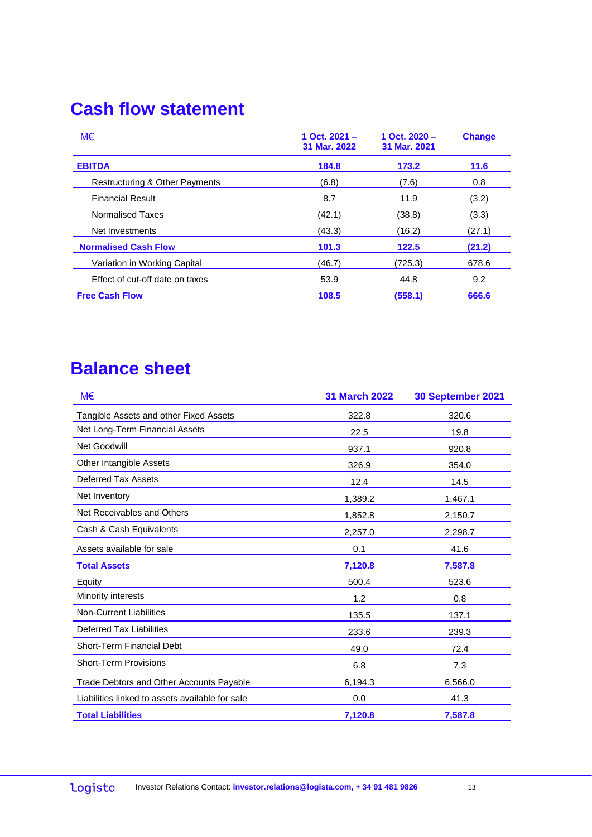## **Cash flow statement**

| M€                              | 1 Oct. $2021 -$<br>31 Mar. 2022 | 1 Oct. $2020 -$<br>31 Mar. 2021 | <b>Change</b> |
|---------------------------------|---------------------------------|---------------------------------|---------------|
| <b>EBITDA</b>                   | 184.8                           | 173.2                           | 11.6          |
| Restructuring & Other Payments  | (6.8)                           | (7.6)                           | 0.8           |
| <b>Financial Result</b>         | 8.7                             | 11.9                            | (3.2)         |
| Normalised Taxes                | (42.1)                          | (38.8)                          | (3.3)         |
| Net Investments                 | (43.3)                          | (16.2)                          | (27.1)        |
| <b>Normalised Cash Flow</b>     | 101.3                           | 122.5                           | (21.2)        |
| Variation in Working Capital    | (46.7)                          | (725.3)                         | 678.6         |
| Effect of cut-off date on taxes | 53.9                            | 44.8                            | 9.2           |
| <b>Free Cash Flow</b>           | 108.5                           | (558.1)                         | 666.6         |

## **Balance sheet**

| M€                                              | <b>31 March 2022</b> | 30 September 2021 |
|-------------------------------------------------|----------------------|-------------------|
| Tangible Assets and other Fixed Assets          | 322.8                | 320.6             |
| Net Long-Term Financial Assets                  | 22.5                 | 19.8              |
| <b>Net Goodwill</b>                             | 937.1                | 920.8             |
| Other Intangible Assets                         | 326.9                | 354.0             |
| Deferred Tax Assets                             | 12.4                 | 14.5              |
| Net Inventory                                   | 1,389.2              | 1,467.1           |
| Net Receivables and Others                      | 1,852.8              | 2,150.7           |
| Cash & Cash Equivalents                         | 2,257.0              | 2,298.7           |
| Assets available for sale                       | 0.1                  | 41.6              |
| <b>Total Assets</b>                             | 7,120.8              | 7,587.8           |
| Equity                                          | 500.4                | 523.6             |
| Minority interests                              | 1.2                  | 0.8               |
| <b>Non-Current Liabilities</b>                  | 135.5                | 137.1             |
| Deferred Tax Liabilities                        | 233.6                | 239.3             |
| Short-Term Financial Debt                       | 49.0                 | 72.4              |
| <b>Short-Term Provisions</b>                    | 6.8                  | 7.3               |
| Trade Debtors and Other Accounts Payable        | 6,194.3              | 6,566.0           |
| Liabilities linked to assets available for sale | 0.0                  | 41.3              |
| <b>Total Liabilities</b>                        | 7,120.8              | 7,587.8           |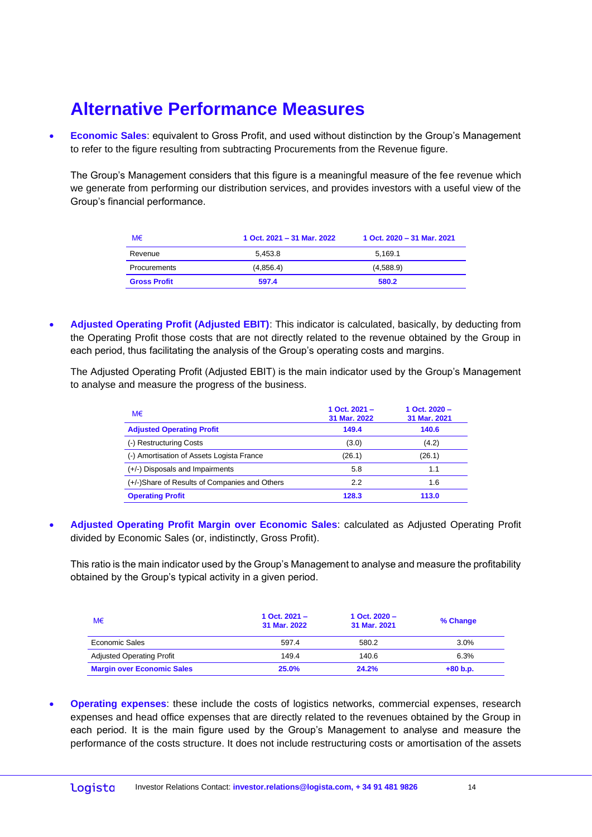## **Alternative Performance Measures**

**Economic Sales:** equivalent to Gross Profit, and used without distinction by the Group's Management to refer to the figure resulting from subtracting Procurements from the Revenue figure.

The Group's Management considers that this figure is a meaningful measure of the fee revenue which we generate from performing our distribution services, and provides investors with a useful view of the Group's financial performance.

| M€                  | 1 Oct. 2021 - 31 Mar. 2022 | 1 Oct. 2020 - 31 Mar. 2021 |
|---------------------|----------------------------|----------------------------|
| Revenue             | 5.453.8                    | 5.169.1                    |
| Procurements        | (4,856.4)                  | (4,588.9)                  |
| <b>Gross Profit</b> | 597.4                      | 580.2                      |

• **Adjusted Operating Profit (Adjusted EBIT)**: This indicator is calculated, basically, by deducting from the Operating Profit those costs that are not directly related to the revenue obtained by the Group in each period, thus facilitating the analysis of the Group's operating costs and margins.

The Adjusted Operating Profit (Adjusted EBIT) is the main indicator used by the Group's Management to analyse and measure the progress of the business.

| M€                                            | 1 Oct. $2021 -$<br>31 Mar. 2022 | 1 Oct. $2020 -$<br>31 Mar. 2021 |
|-----------------------------------------------|---------------------------------|---------------------------------|
| <b>Adjusted Operating Profit</b>              | 149.4                           | 140.6                           |
| (-) Restructuring Costs                       | (3.0)                           | (4.2)                           |
| (-) Amortisation of Assets Logista France     | (26.1)                          | (26.1)                          |
| (+/-) Disposals and Impairments               | 5.8                             | 1.1                             |
| (+/-)Share of Results of Companies and Others | 2.2                             | 1.6                             |
| <b>Operating Profit</b>                       | 128.3                           | 113.0                           |

• **Adjusted Operating Profit Margin over Economic Sales**: calculated as Adjusted Operating Profit divided by Economic Sales (or, indistinctly, Gross Profit).

This ratio is the main indicator used by the Group's Management to analyse and measure the profitability obtained by the Group's typical activity in a given period.

| M€                                | 1 Oct. $2021 -$<br>31 Mar. 2022 | 1 Oct. $2020 -$<br>31 Mar. 2021 | % Change   |
|-----------------------------------|---------------------------------|---------------------------------|------------|
| Economic Sales                    | 597.4                           | 580.2                           | 3.0%       |
| <b>Adjusted Operating Profit</b>  | 149.4                           | 140.6                           | 6.3%       |
| <b>Margin over Economic Sales</b> | <b>25.0%</b>                    | 24.2%                           | $+80 b.p.$ |

• **Operating expenses**: these include the costs of logistics networks, commercial expenses, research expenses and head office expenses that are directly related to the revenues obtained by the Group in each period. It is the main figure used by the Group's Management to analyse and measure the performance of the costs structure. It does not include restructuring costs or amortisation of the assets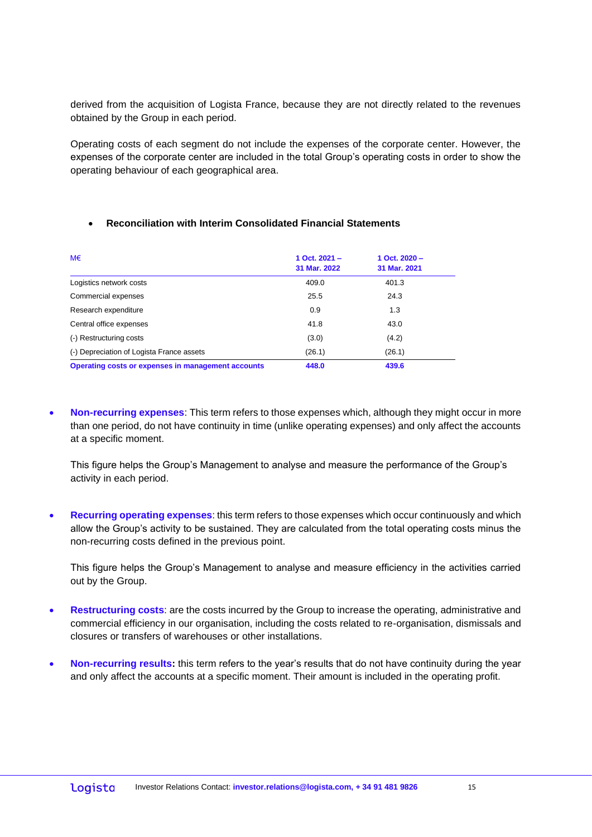derived from the acquisition of Logista France, because they are not directly related to the revenues obtained by the Group in each period.

Operating costs of each segment do not include the expenses of the corporate center. However, the expenses of the corporate center are included in the total Group's operating costs in order to show the operating behaviour of each geographical area.

| M€                                                 | 1 Oct. $2021 -$<br>31 Mar. 2022 | 1 Oct. $2020 -$<br>31 Mar. 2021 |
|----------------------------------------------------|---------------------------------|---------------------------------|
| Logistics network costs                            | 409.0                           | 401.3                           |
| Commercial expenses                                | 25.5                            | 24.3                            |
| Research expenditure                               | 0.9                             | 1.3                             |
| Central office expenses                            | 41.8                            | 43.0                            |
| (-) Restructuring costs                            | (3.0)                           | (4.2)                           |
| (-) Depreciation of Logista France assets          | (26.1)                          | (26.1)                          |
| Operating costs or expenses in management accounts | 448.0                           | 439.6                           |

### • **Reconciliation with Interim Consolidated Financial Statements**

• **Non-recurring expenses**: This term refers to those expenses which, although they might occur in more than one period, do not have continuity in time (unlike operating expenses) and only affect the accounts at a specific moment.

This figure helps the Group's Management to analyse and measure the performance of the Group's activity in each period.

• **Recurring operating expenses**: this term refers to those expenses which occur continuously and which allow the Group's activity to be sustained. They are calculated from the total operating costs minus the non-recurring costs defined in the previous point.

This figure helps the Group's Management to analyse and measure efficiency in the activities carried out by the Group.

- **Restructuring costs**: are the costs incurred by the Group to increase the operating, administrative and commercial efficiency in our organisation, including the costs related to re-organisation, dismissals and closures or transfers of warehouses or other installations.
- **Non-recurring results:** this term refers to the year's results that do not have continuity during the year and only affect the accounts at a specific moment. Their amount is included in the operating profit.